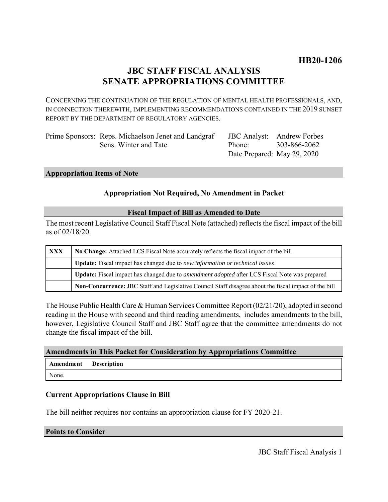## **JBC STAFF FISCAL ANALYSIS SENATE APPROPRIATIONS COMMITTEE**

CONCERNING THE CONTINUATION OF THE REGULATION OF MENTAL HEALTH PROFESSIONALS, AND, IN CONNECTION THEREWITH, IMPLEMENTING RECOMMENDATIONS CONTAINED IN THE 2019 SUNSET REPORT BY THE DEPARTMENT OF REGULATORY AGENCIES.

| Prime Sponsors: Reps. Michaelson Jenet and Landgraf |                             | <b>JBC</b> Analyst: Andrew Forbes |
|-----------------------------------------------------|-----------------------------|-----------------------------------|
| Sens. Winter and Tate                               | Phone:                      | 303-866-2062                      |
|                                                     | Date Prepared: May 29, 2020 |                                   |

#### **Appropriation Items of Note**

### **Appropriation Not Required, No Amendment in Packet**

#### **Fiscal Impact of Bill as Amended to Date**

The most recent Legislative Council Staff Fiscal Note (attached) reflects the fiscal impact of the bill as of 02/18/20.

| <b>XXX</b> | No Change: Attached LCS Fiscal Note accurately reflects the fiscal impact of the bill                       |  |
|------------|-------------------------------------------------------------------------------------------------------------|--|
|            | Update: Fiscal impact has changed due to new information or technical issues                                |  |
|            | <b>Update:</b> Fiscal impact has changed due to <i>amendment adopted</i> after LCS Fiscal Note was prepared |  |
|            | Non-Concurrence: JBC Staff and Legislative Council Staff disagree about the fiscal impact of the bill       |  |

The House Public Health Care & Human Services Committee Report (02/21/20), adopted in second reading in the House with second and third reading amendments, includes amendments to the bill, however, Legislative Council Staff and JBC Staff agree that the committee amendments do not change the fiscal impact of the bill.

#### **Amendments in This Packet for Consideration by Appropriations Committee**

| Amendment | <b>Description</b> |
|-----------|--------------------|
| None.     |                    |

#### **Current Appropriations Clause in Bill**

The bill neither requires nor contains an appropriation clause for FY 2020-21.

#### **Points to Consider**

JBC Staff Fiscal Analysis 1